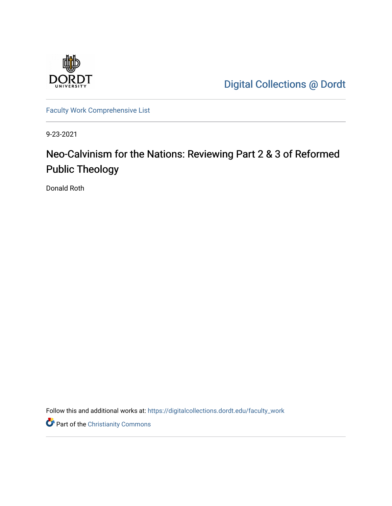

[Digital Collections @ Dordt](https://digitalcollections.dordt.edu/) 

[Faculty Work Comprehensive List](https://digitalcollections.dordt.edu/faculty_work)

9-23-2021

## Neo-Calvinism for the Nations: Reviewing Part 2 & 3 of Reformed Public Theology

Donald Roth

Follow this and additional works at: [https://digitalcollections.dordt.edu/faculty\\_work](https://digitalcollections.dordt.edu/faculty_work?utm_source=digitalcollections.dordt.edu%2Ffaculty_work%2F1356&utm_medium=PDF&utm_campaign=PDFCoverPages) 

**Part of the Christianity Commons**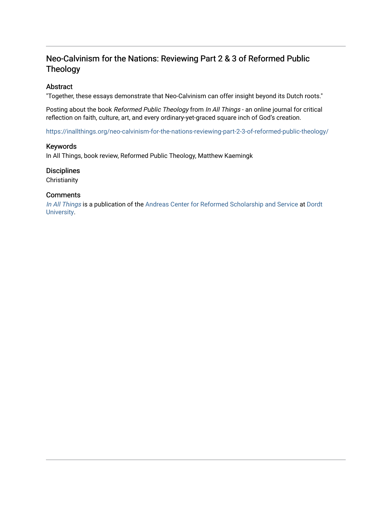### Neo-Calvinism for the Nations: Reviewing Part 2 & 3 of Reformed Public Theology

#### Abstract

"Together, these essays demonstrate that Neo-Calvinism can offer insight beyond its Dutch roots."

Posting about the book Reformed Public Theology from In All Things - an online journal for critical reflection on faith, culture, art, and every ordinary-yet-graced square inch of God's creation.

<https://inallthings.org/neo-calvinism-for-the-nations-reviewing-part-2-3-of-reformed-public-theology/>

#### Keywords

In All Things, book review, Reformed Public Theology, Matthew Kaemingk

#### **Disciplines**

**Christianity** 

#### **Comments**

[In All Things](http://inallthings.org/) is a publication of the [Andreas Center for Reformed Scholarship and Service](http://www.dordt.edu/services_support/andreas_center/) at Dordt [University](http://www.dordt.edu/).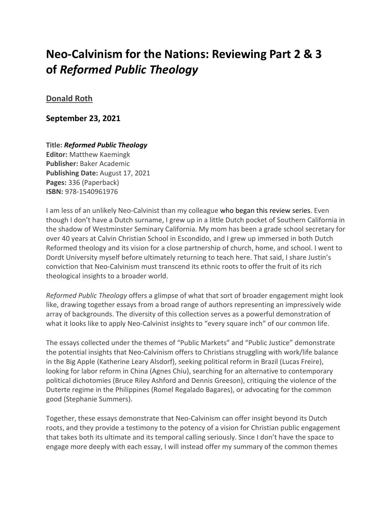# **Neo-Calvinism for the Nations: Reviewing Part 2 & 3 of** *Reformed Public Theology*

### **[Donald Roth](https://inallthings.org/author/donald-roth/)**

**September 23, 2021**

**Title:** *Reformed Public Theology* **Editor:** Matthew Kaemingk **Publisher:** Baker Academic **Publishing Date:** August 17, 2021 **Pages:** 336 (Paperback) **ISBN:** 978-1540961976

I am less of an unlikely Neo-Calvinist than my colleague who began this review series. Even though I don't have a Dutch surname, I grew up in a little Dutch pocket of Southern California in the shadow of Westminster Seminary California. My mom has been a grade school secretary for over 40 years at Calvin Christian School in Escondido, and I grew up immersed in both Dutch Reformed theology and its vision for a close partnership of church, home, and school. I went to Dordt University myself before ultimately returning to teach here. That said, I share Justin's conviction that Neo-Calvinism must transcend its ethnic roots to offer the fruit of its rich theological insights to a broader world.

*Reformed Public Theology* offers a glimpse of what that sort of broader engagement might look like, drawing together essays from a broad range of authors representing an impressively wide array of backgrounds. The diversity of this collection serves as a powerful demonstration of what it looks like to apply Neo-Calvinist insights to "every square inch" of our common life.

The essays collected under the themes of "Public Markets" and "Public Justice" demonstrate the potential insights that Neo-Calvinism offers to Christians struggling with work/life balance in the Big Apple (Katherine Leary Alsdorf), seeking political reform in Brazil (Lucas Freire), looking for labor reform in China (Agnes Chiu), searching for an alternative to contemporary political dichotomies (Bruce Riley Ashford and Dennis Greeson), critiquing the violence of the Duterte regime in the Philippines (Romel Regalado Bagares), or advocating for the common good (Stephanie Summers).

Together, these essays demonstrate that Neo-Calvinism can offer insight beyond its Dutch roots, and they provide a testimony to the potency of a vision for Christian public engagement that takes both its ultimate and its temporal calling seriously. Since I don't have the space to engage more deeply with each essay, I will instead offer my summary of the common themes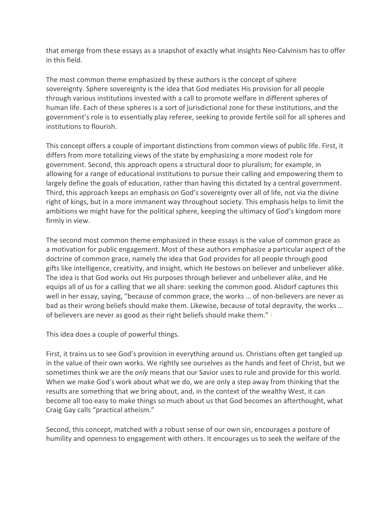that emerge from these essays as a snapshot of exactly what insights Neo-Calvinism has to offer in this field.

The most common theme emphasized by these authors is the concept of sphere sovereignty. Sphere sovereignty is the idea that God mediates His provision for all people through various institutions invested with a call to promote welfare in different spheres of human life. Each of these spheres is a sort of jurisdictional zone for these institutions, and the government's role is to essentially play referee, seeking to provide fertile soil for all spheres and institutions to flourish.

This concept offers a couple of important distinctions from common views of public life. First, it differs from more totalizing views of the state by emphasizing a more modest role for government. Second, this approach opens a structural door to pluralism; for example, in allowing for a range of educational institutions to pursue their calling and empowering them to largely define the goals of education, rather than having this dictated by a central government. Third, this approach keeps an emphasis on God's sovereignty over all of life, not via the divine right of kings, but in a more immanent way throughout society. This emphasis helps to limit the ambitions we might have for the political sphere, keeping the ultimacy of God's kingdom more firmly in view.

The second most common theme emphasized in these essays is the value of common grace as a motivation for public engagement. Most of these authors emphasize a particular aspect of the doctrine of common grace, namely the idea that God provides for all people through good gifts like intelligence, creativity, and insight, which He bestows on believer and unbeliever alike. The idea is that God works out His purposes through believer and unbeliever alike, and He equips all of us for a calling that we all share: seeking the common good. Alsdorf captures this well in her essay, saying, "because of common grace, the works … of non-believers are never as bad as their wrong beliefs should make them. Likewise, because of total depravity, the works … of believers are never as good as their right beliefs should make them."  $\frac{1}{2}$  $\frac{1}{2}$  $\frac{1}{2}$ 

This idea does a couple of powerful things.

First, it trains us to see God's provision in everything around us. Christians often get tangled up in the value of their own works. We rightly see ourselves as the hands and feet of Christ, but we sometimes think we are the *only* means that our Savior uses to rule and provide for this world. When we make God's work about what *we* do, we are only a step away from thinking that the results are something that *we* bring about, and, in the context of the wealthy West, it can become all too easy to make things so much about us that God becomes an afterthought, what Craig Gay calls "practical atheism."

Second, this concept, matched with a robust sense of our own sin, encourages a posture of humility and openness to engagement with others. It encourages us to seek the welfare of the